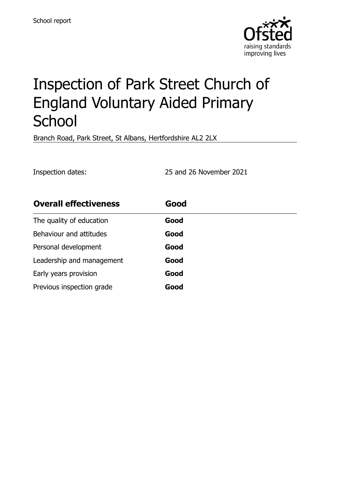

# Inspection of Park Street Church of England Voluntary Aided Primary **School**

Branch Road, Park Street, St Albans, Hertfordshire AL2 2LX

Inspection dates: 25 and 26 November 2021

| <b>Overall effectiveness</b> | Good |
|------------------------------|------|
| The quality of education     | Good |
| Behaviour and attitudes      | Good |
| Personal development         | Good |
| Leadership and management    | Good |
| Early years provision        | Good |
| Previous inspection grade    | Good |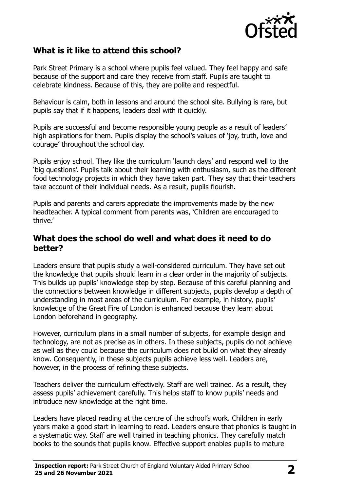

# **What is it like to attend this school?**

Park Street Primary is a school where pupils feel valued. They feel happy and safe because of the support and care they receive from staff. Pupils are taught to celebrate kindness. Because of this, they are polite and respectful.

Behaviour is calm, both in lessons and around the school site. Bullying is rare, but pupils say that if it happens, leaders deal with it quickly.

Pupils are successful and become responsible young people as a result of leaders' high aspirations for them. Pupils display the school's values of 'joy, truth, love and courage' throughout the school day.

Pupils enjoy school. They like the curriculum 'launch days' and respond well to the 'big questions'. Pupils talk about their learning with enthusiasm, such as the different food technology projects in which they have taken part. They say that their teachers take account of their individual needs. As a result, pupils flourish.

Pupils and parents and carers appreciate the improvements made by the new headteacher. A typical comment from parents was, 'Children are encouraged to thrive.'

#### **What does the school do well and what does it need to do better?**

Leaders ensure that pupils study a well-considered curriculum. They have set out the knowledge that pupils should learn in a clear order in the majority of subjects. This builds up pupils' knowledge step by step. Because of this careful planning and the connections between knowledge in different subjects, pupils develop a depth of understanding in most areas of the curriculum. For example, in history, pupils' knowledge of the Great Fire of London is enhanced because they learn about London beforehand in geography.

However, curriculum plans in a small number of subjects, for example design and technology, are not as precise as in others. In these subjects, pupils do not achieve as well as they could because the curriculum does not build on what they already know. Consequently, in these subjects pupils achieve less well. Leaders are, however, in the process of refining these subjects.

Teachers deliver the curriculum effectively. Staff are well trained. As a result, they assess pupils' achievement carefully. This helps staff to know pupils' needs and introduce new knowledge at the right time.

Leaders have placed reading at the centre of the school's work. Children in early years make a good start in learning to read. Leaders ensure that phonics is taught in a systematic way. Staff are well trained in teaching phonics. They carefully match books to the sounds that pupils know. Effective support enables pupils to mature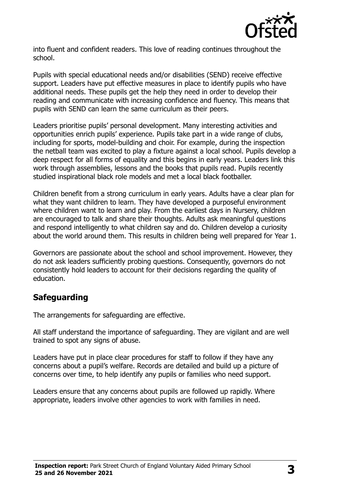

into fluent and confident readers. This love of reading continues throughout the school.

Pupils with special educational needs and/or disabilities (SEND) receive effective support. Leaders have put effective measures in place to identify pupils who have additional needs. These pupils get the help they need in order to develop their reading and communicate with increasing confidence and fluency. This means that pupils with SEND can learn the same curriculum as their peers.

Leaders prioritise pupils' personal development. Many interesting activities and opportunities enrich pupils' experience. Pupils take part in a wide range of clubs, including for sports, model-building and choir. For example, during the inspection the netball team was excited to play a fixture against a local school. Pupils develop a deep respect for all forms of equality and this begins in early years. Leaders link this work through assemblies, lessons and the books that pupils read. Pupils recently studied inspirational black role models and met a local black footballer.

Children benefit from a strong curriculum in early years. Adults have a clear plan for what they want children to learn. They have developed a purposeful environment where children want to learn and play. From the earliest days in Nursery, children are encouraged to talk and share their thoughts. Adults ask meaningful questions and respond intelligently to what children say and do. Children develop a curiosity about the world around them. This results in children being well prepared for Year 1.

Governors are passionate about the school and school improvement. However, they do not ask leaders sufficiently probing questions. Consequently, governors do not consistently hold leaders to account for their decisions regarding the quality of education.

### **Safeguarding**

The arrangements for safeguarding are effective.

All staff understand the importance of safeguarding. They are vigilant and are well trained to spot any signs of abuse.

Leaders have put in place clear procedures for staff to follow if they have any concerns about a pupil's welfare. Records are detailed and build up a picture of concerns over time, to help identify any pupils or families who need support.

Leaders ensure that any concerns about pupils are followed up rapidly. Where appropriate, leaders involve other agencies to work with families in need.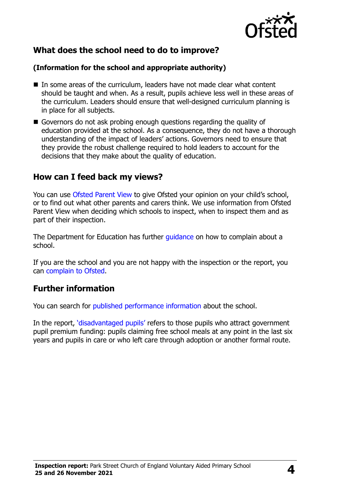

# **What does the school need to do to improve?**

#### **(Information for the school and appropriate authority)**

- In some areas of the curriculum, leaders have not made clear what content should be taught and when. As a result, pupils achieve less well in these areas of the curriculum. Leaders should ensure that well-designed curriculum planning is in place for all subjects.
- Governors do not ask probing enough questions regarding the quality of education provided at the school. As a consequence, they do not have a thorough understanding of the impact of leaders' actions. Governors need to ensure that they provide the robust challenge required to hold leaders to account for the decisions that they make about the quality of education.

### **How can I feed back my views?**

You can use [Ofsted Parent View](http://parentview.ofsted.gov.uk/) to give Ofsted your opinion on your child's school, or to find out what other parents and carers think. We use information from Ofsted Parent View when deciding which schools to inspect, when to inspect them and as part of their inspection.

The Department for Education has further quidance on how to complain about a school.

If you are the school and you are not happy with the inspection or the report, you can [complain to Ofsted.](http://www.gov.uk/complain-ofsted-report)

# **Further information**

You can search for [published performance information](http://www.compare-school-performance.service.gov.uk/) about the school.

In the report, '[disadvantaged pupils](http://www.gov.uk/guidance/pupil-premium-information-for-schools-and-alternative-provision-settings)' refers to those pupils who attract government pupil premium funding: pupils claiming free school meals at any point in the last six years and pupils in care or who left care through adoption or another formal route.

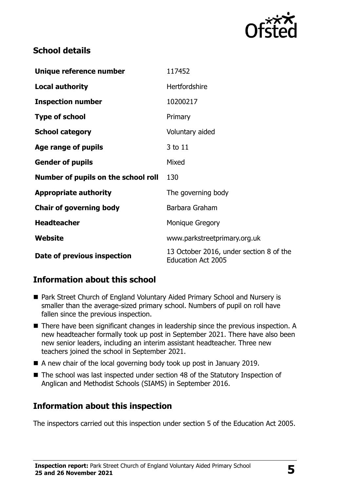

# **School details**

| Unique reference number             | 117452                                                               |
|-------------------------------------|----------------------------------------------------------------------|
| <b>Local authority</b>              | Hertfordshire                                                        |
| <b>Inspection number</b>            | 10200217                                                             |
| <b>Type of school</b>               | Primary                                                              |
| <b>School category</b>              | Voluntary aided                                                      |
| Age range of pupils                 | 3 to 11                                                              |
| <b>Gender of pupils</b>             | Mixed                                                                |
| Number of pupils on the school roll | 130                                                                  |
| <b>Appropriate authority</b>        | The governing body                                                   |
| <b>Chair of governing body</b>      | Barbara Graham                                                       |
| <b>Headteacher</b>                  | <b>Monique Gregory</b>                                               |
| Website                             | www.parkstreetprimary.org.uk                                         |
| Date of previous inspection         | 13 October 2016, under section 8 of the<br><b>Education Act 2005</b> |

# **Information about this school**

- Park Street Church of England Voluntary Aided Primary School and Nursery is smaller than the average-sized primary school. Numbers of pupil on roll have fallen since the previous inspection.
- There have been significant changes in leadership since the previous inspection. A new headteacher formally took up post in September 2021. There have also been new senior leaders, including an interim assistant headteacher. Three new teachers joined the school in September 2021.
- A new chair of the local governing body took up post in January 2019.
- The school was last inspected under section 48 of the Statutory Inspection of Anglican and Methodist Schools (SIAMS) in September 2016.

# **Information about this inspection**

The inspectors carried out this inspection under section 5 of the Education Act 2005.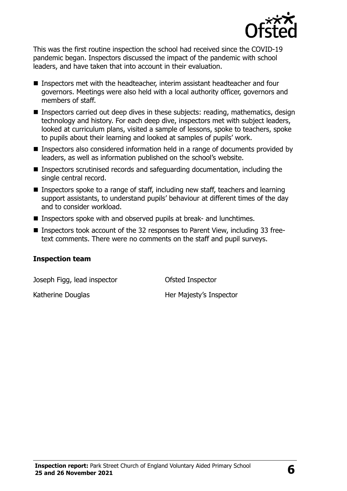

This was the first routine inspection the school had received since the COVID-19 pandemic began. Inspectors discussed the impact of the pandemic with school leaders, and have taken that into account in their evaluation.

- Inspectors met with the headteacher, interim assistant headteacher and four governors. Meetings were also held with a local authority officer, governors and members of staff.
- Inspectors carried out deep dives in these subjects: reading, mathematics, design technology and history. For each deep dive, inspectors met with subject leaders, looked at curriculum plans, visited a sample of lessons, spoke to teachers, spoke to pupils about their learning and looked at samples of pupils' work.
- Inspectors also considered information held in a range of documents provided by leaders, as well as information published on the school's website.
- Inspectors scrutinised records and safeguarding documentation, including the single central record.
- Inspectors spoke to a range of staff, including new staff, teachers and learning support assistants, to understand pupils' behaviour at different times of the day and to consider workload.
- Inspectors spoke with and observed pupils at break- and lunchtimes.
- Inspectors took account of the 32 responses to Parent View, including 33 freetext comments. There were no comments on the staff and pupil surveys.

#### **Inspection team**

Joseph Figg, lead inspector Ofsted Inspector

Katherine Douglas **Her Majesty's Inspector**